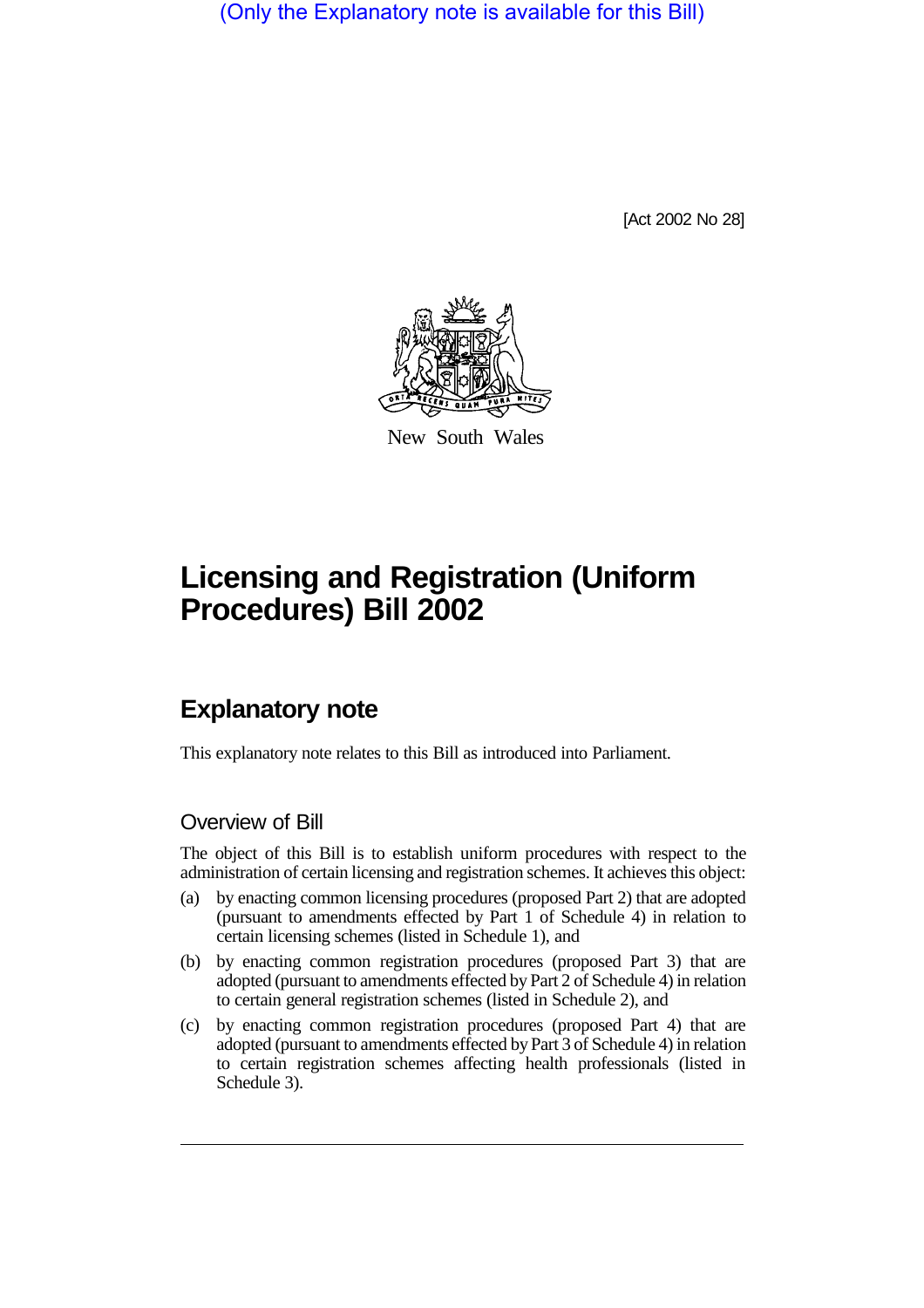(Only the Explanatory note is available for this Bill)

[Act 2002 No 28]



New South Wales

# **Licensing and Registration (Uniform Procedures) Bill 2002**

## **Explanatory note**

This explanatory note relates to this Bill as introduced into Parliament.

#### Overview of Bill

The object of this Bill is to establish uniform procedures with respect to the administration of certain licensing and registration schemes. It achieves this object:

- (a) by enacting common licensing procedures (proposed Part 2) that are adopted (pursuant to amendments effected by Part 1 of Schedule 4) in relation to certain licensing schemes (listed in Schedule 1), and
- (b) by enacting common registration procedures (proposed Part 3) that are adopted (pursuant to amendments effected by Part 2 of Schedule 4) in relation to certain general registration schemes (listed in Schedule 2), and
- (c) by enacting common registration procedures (proposed Part 4) that are adopted (pursuant to amendments effected by Part 3 of Schedule 4) in relation to certain registration schemes affecting health professionals (listed in Schedule 3).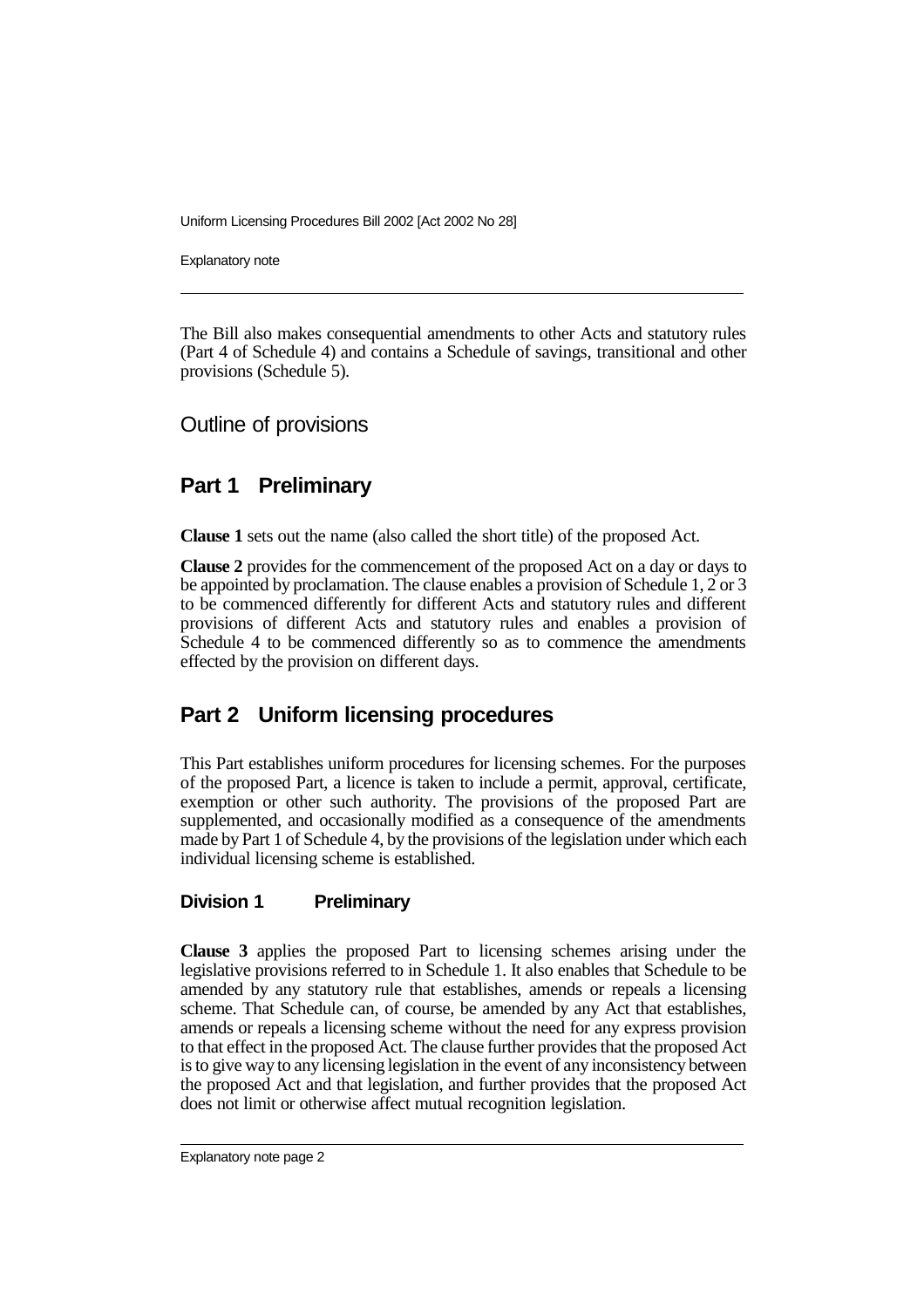Explanatory note

The Bill also makes consequential amendments to other Acts and statutory rules (Part 4 of Schedule 4) and contains a Schedule of savings, transitional and other provisions (Schedule 5).

Outline of provisions

### **Part 1 Preliminary**

**Clause 1** sets out the name (also called the short title) of the proposed Act.

**Clause 2** provides for the commencement of the proposed Act on a day or days to be appointed by proclamation. The clause enables a provision of Schedule 1, 2 or 3 to be commenced differently for different Acts and statutory rules and different provisions of different Acts and statutory rules and enables a provision of Schedule 4 to be commenced differently so as to commence the amendments effected by the provision on different days.

## **Part 2 Uniform licensing procedures**

This Part establishes uniform procedures for licensing schemes. For the purposes of the proposed Part, a licence is taken to include a permit, approval, certificate, exemption or other such authority. The provisions of the proposed Part are supplemented, and occasionally modified as a consequence of the amendments made by Part 1 of Schedule 4, by the provisions of the legislation under which each individual licensing scheme is established.

#### **Division 1 Preliminary**

**Clause 3** applies the proposed Part to licensing schemes arising under the legislative provisions referred to in Schedule 1. It also enables that Schedule to be amended by any statutory rule that establishes, amends or repeals a licensing scheme. That Schedule can, of course, be amended by any Act that establishes, amends or repeals a licensing scheme without the need for any express provision to that effect in the proposed Act. The clause further provides that the proposed Act is to give way to any licensing legislation in the event of any inconsistency between the proposed Act and that legislation, and further provides that the proposed Act does not limit or otherwise affect mutual recognition legislation.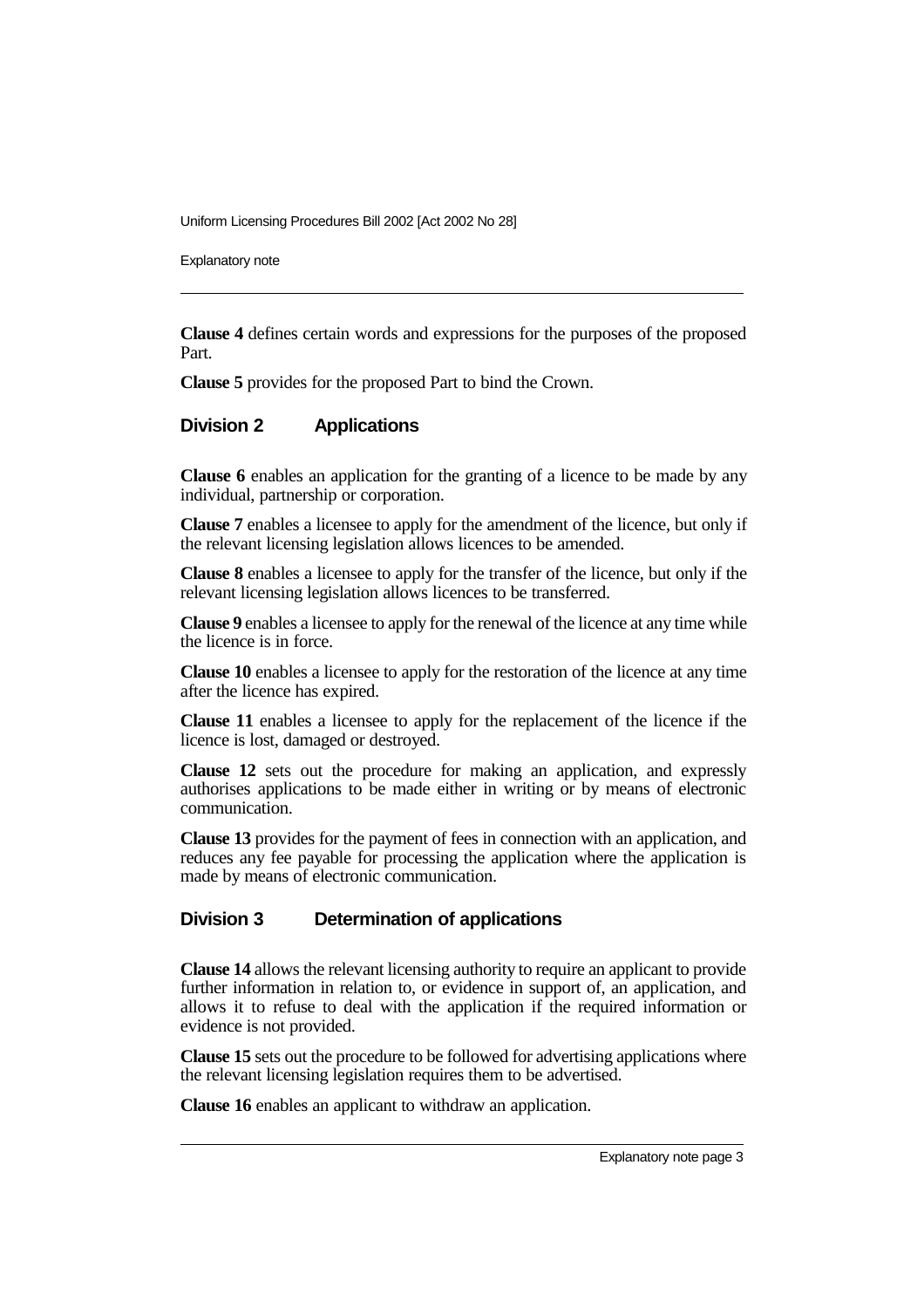Explanatory note

**Clause 4** defines certain words and expressions for the purposes of the proposed Part.

**Clause 5** provides for the proposed Part to bind the Crown.

#### **Division 2 Applications**

**Clause 6** enables an application for the granting of a licence to be made by any individual, partnership or corporation.

**Clause 7** enables a licensee to apply for the amendment of the licence, but only if the relevant licensing legislation allows licences to be amended.

**Clause 8** enables a licensee to apply for the transfer of the licence, but only if the relevant licensing legislation allows licences to be transferred.

**Clause 9** enables a licensee to apply for the renewal of the licence at any time while the licence is in force.

**Clause 10** enables a licensee to apply for the restoration of the licence at any time after the licence has expired.

**Clause 11** enables a licensee to apply for the replacement of the licence if the licence is lost, damaged or destroyed.

**Clause 12** sets out the procedure for making an application, and expressly authorises applications to be made either in writing or by means of electronic communication.

**Clause 13** provides for the payment of fees in connection with an application, and reduces any fee payable for processing the application where the application is made by means of electronic communication.

#### **Division 3 Determination of applications**

**Clause 14** allows the relevant licensing authority to require an applicant to provide further information in relation to, or evidence in support of, an application, and allows it to refuse to deal with the application if the required information or evidence is not provided.

**Clause 15** sets out the procedure to be followed for advertising applications where the relevant licensing legislation requires them to be advertised.

**Clause 16** enables an applicant to withdraw an application.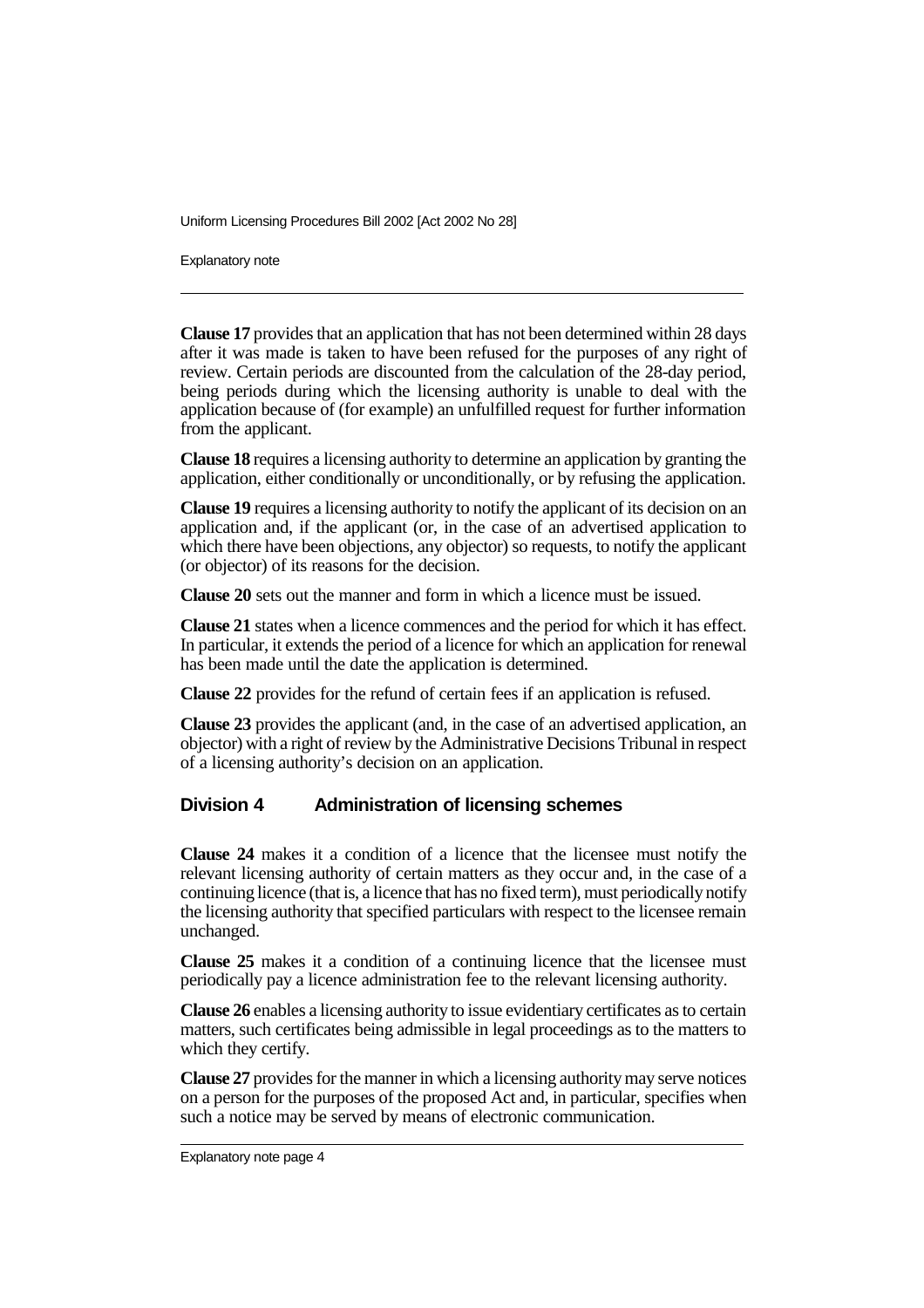Explanatory note

**Clause 17** provides that an application that has not been determined within 28 days after it was made is taken to have been refused for the purposes of any right of review. Certain periods are discounted from the calculation of the 28-day period, being periods during which the licensing authority is unable to deal with the application because of (for example) an unfulfilled request for further information from the applicant.

**Clause 18** requires a licensing authority to determine an application by granting the application, either conditionally or unconditionally, or by refusing the application.

**Clause 19** requires a licensing authority to notify the applicant of its decision on an application and, if the applicant (or, in the case of an advertised application to which there have been objections, any objector) so requests, to notify the applicant (or objector) of its reasons for the decision.

**Clause 20** sets out the manner and form in which a licence must be issued.

**Clause 21** states when a licence commences and the period for which it has effect. In particular, it extends the period of a licence for which an application for renewal has been made until the date the application is determined.

**Clause 22** provides for the refund of certain fees if an application is refused.

**Clause 23** provides the applicant (and, in the case of an advertised application, an objector) with a right of review by the Administrative Decisions Tribunal in respect of a licensing authority's decision on an application.

#### **Division 4 Administration of licensing schemes**

**Clause 24** makes it a condition of a licence that the licensee must notify the relevant licensing authority of certain matters as they occur and, in the case of a continuing licence (that is, a licence that has no fixed term), must periodically notify the licensing authority that specified particulars with respect to the licensee remain unchanged.

**Clause 25** makes it a condition of a continuing licence that the licensee must periodically pay a licence administration fee to the relevant licensing authority.

**Clause 26** enables a licensing authority to issue evidentiary certificates as to certain matters, such certificates being admissible in legal proceedings as to the matters to which they certify.

**Clause 27** provides for the manner in which a licensing authority may serve notices on a person for the purposes of the proposed Act and, in particular, specifies when such a notice may be served by means of electronic communication.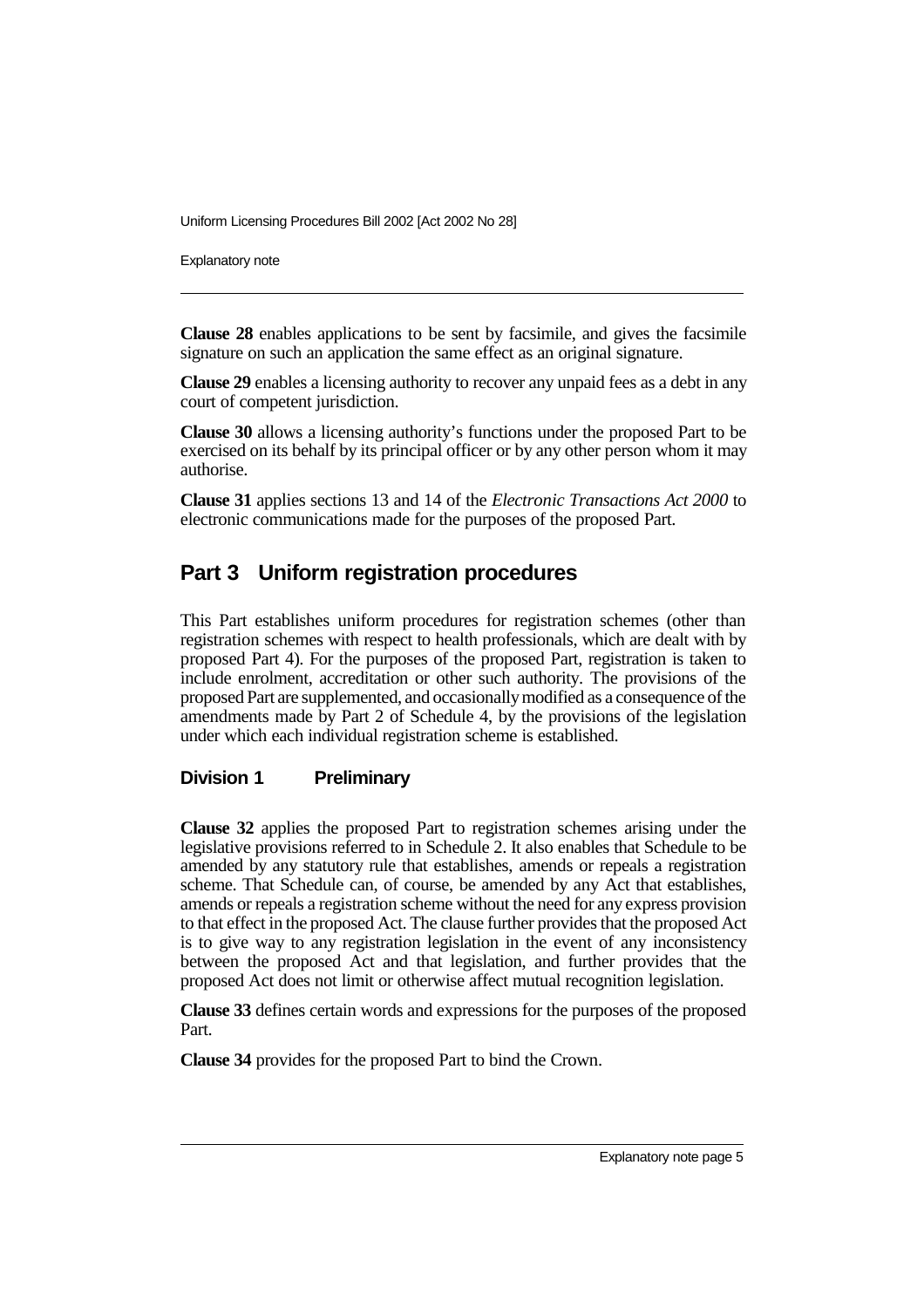Explanatory note

**Clause 28** enables applications to be sent by facsimile, and gives the facsimile signature on such an application the same effect as an original signature.

**Clause 29** enables a licensing authority to recover any unpaid fees as a debt in any court of competent jurisdiction.

**Clause 30** allows a licensing authority's functions under the proposed Part to be exercised on its behalf by its principal officer or by any other person whom it may authorise.

**Clause 31** applies sections 13 and 14 of the *Electronic Transactions Act 2000* to electronic communications made for the purposes of the proposed Part.

### **Part 3 Uniform registration procedures**

This Part establishes uniform procedures for registration schemes (other than registration schemes with respect to health professionals, which are dealt with by proposed Part 4). For the purposes of the proposed Part, registration is taken to include enrolment, accreditation or other such authority. The provisions of the proposed Part are supplemented, and occasionallymodified as a consequence of the amendments made by Part 2 of Schedule 4, by the provisions of the legislation under which each individual registration scheme is established.

#### **Division 1 Preliminary**

**Clause 32** applies the proposed Part to registration schemes arising under the legislative provisions referred to in Schedule 2. It also enables that Schedule to be amended by any statutory rule that establishes, amends or repeals a registration scheme. That Schedule can, of course, be amended by any Act that establishes, amends or repeals a registration scheme without the need for any express provision to that effect in the proposed Act. The clause further provides that the proposed Act is to give way to any registration legislation in the event of any inconsistency between the proposed Act and that legislation, and further provides that the proposed Act does not limit or otherwise affect mutual recognition legislation.

**Clause 33** defines certain words and expressions for the purposes of the proposed Part.

**Clause 34** provides for the proposed Part to bind the Crown.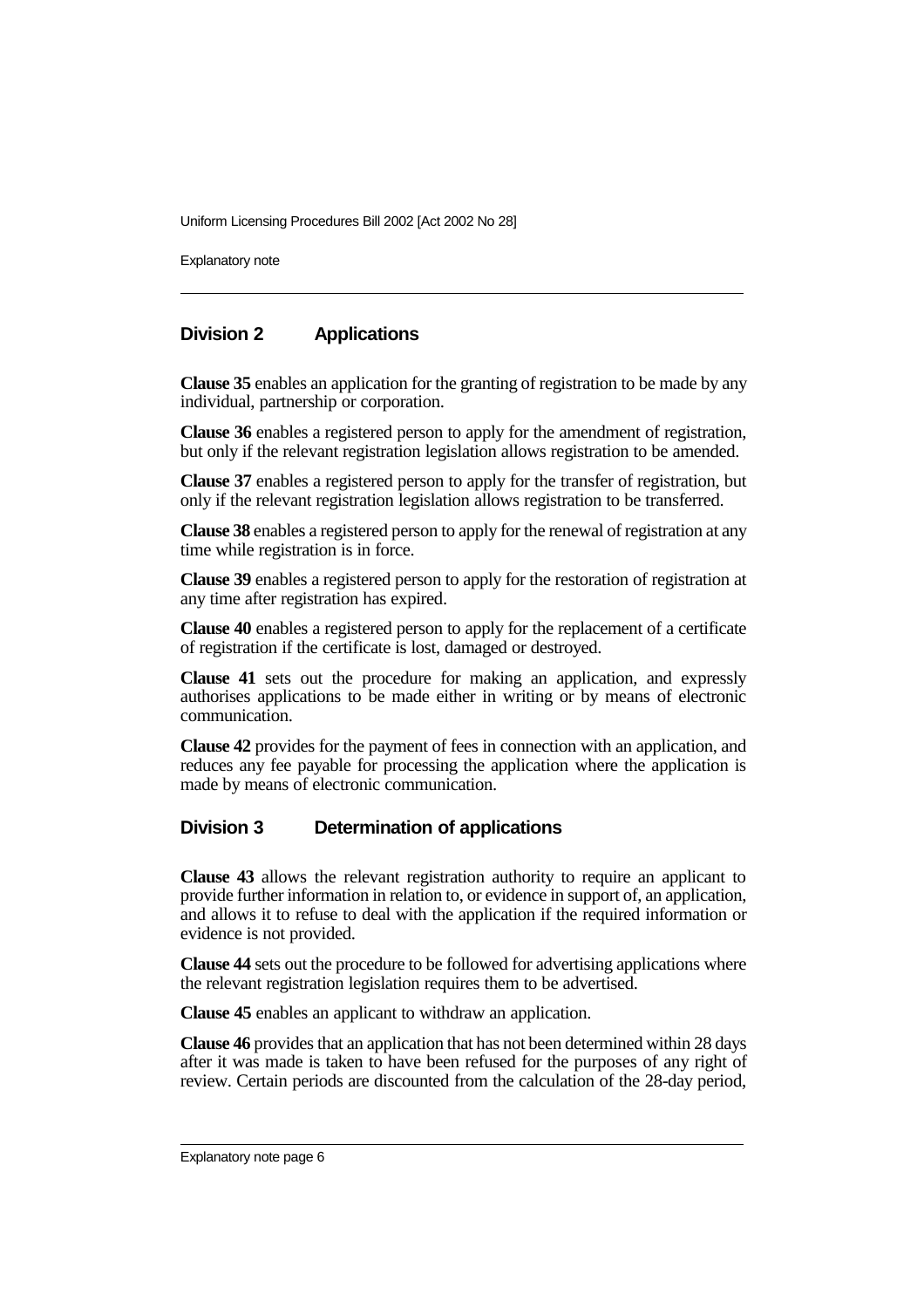Explanatory note

#### **Division 2 Applications**

**Clause 35** enables an application for the granting of registration to be made by any individual, partnership or corporation.

**Clause 36** enables a registered person to apply for the amendment of registration, but only if the relevant registration legislation allows registration to be amended.

**Clause 37** enables a registered person to apply for the transfer of registration, but only if the relevant registration legislation allows registration to be transferred.

**Clause 38** enables a registered person to apply for the renewal of registration at any time while registration is in force.

**Clause 39** enables a registered person to apply for the restoration of registration at any time after registration has expired.

**Clause 40** enables a registered person to apply for the replacement of a certificate of registration if the certificate is lost, damaged or destroyed.

**Clause 41** sets out the procedure for making an application, and expressly authorises applications to be made either in writing or by means of electronic communication.

**Clause 42** provides for the payment of fees in connection with an application, and reduces any fee payable for processing the application where the application is made by means of electronic communication.

#### **Division 3 Determination of applications**

**Clause 43** allows the relevant registration authority to require an applicant to provide further information in relation to, or evidence in support of, an application, and allows it to refuse to deal with the application if the required information or evidence is not provided.

**Clause 44** sets out the procedure to be followed for advertising applications where the relevant registration legislation requires them to be advertised.

**Clause 45** enables an applicant to withdraw an application.

**Clause 46** provides that an application that has not been determined within 28 days after it was made is taken to have been refused for the purposes of any right of review. Certain periods are discounted from the calculation of the 28-day period,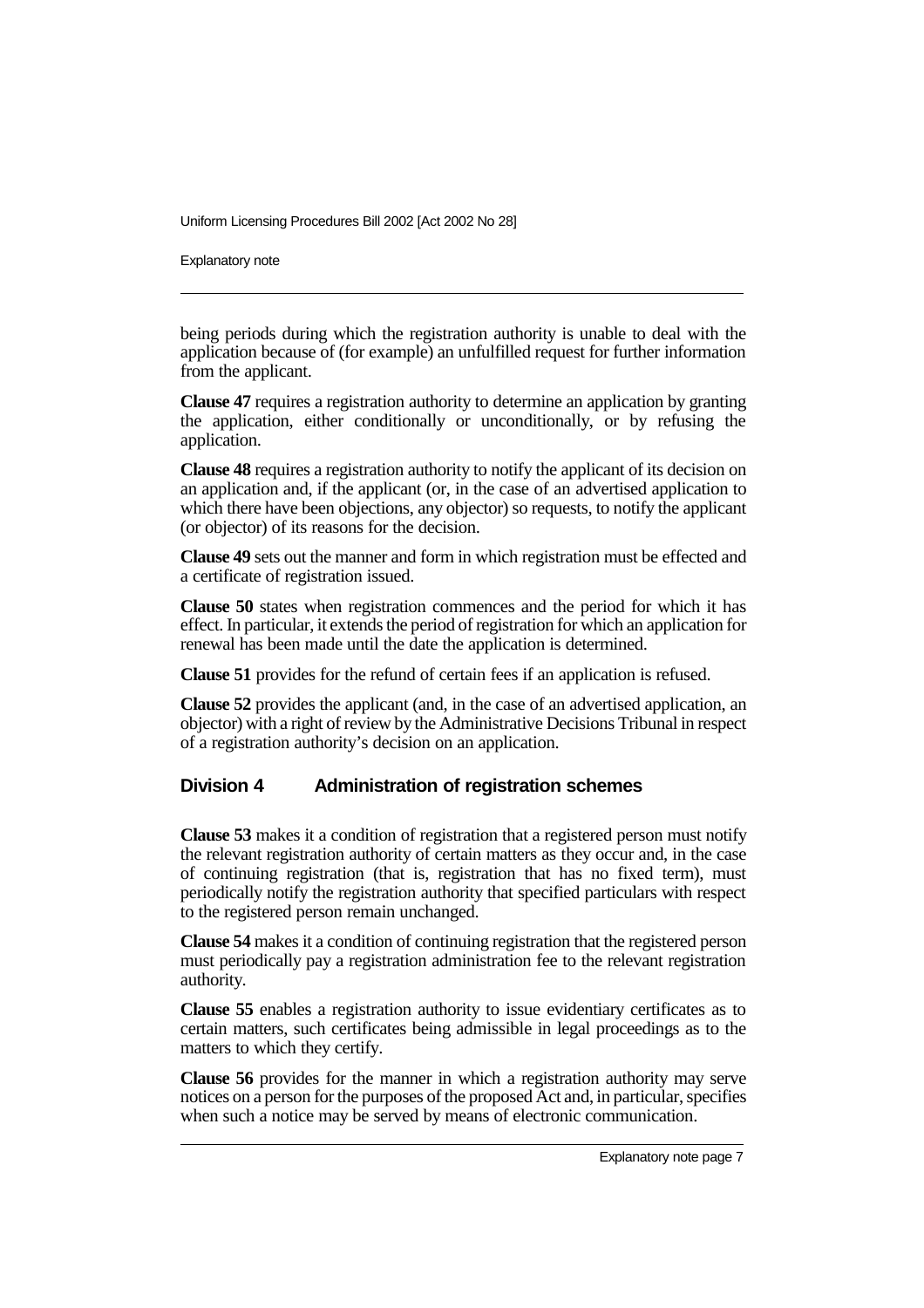Explanatory note

being periods during which the registration authority is unable to deal with the application because of (for example) an unfulfilled request for further information from the applicant.

**Clause 47** requires a registration authority to determine an application by granting the application, either conditionally or unconditionally, or by refusing the application.

**Clause 48** requires a registration authority to notify the applicant of its decision on an application and, if the applicant (or, in the case of an advertised application to which there have been objections, any objector) so requests, to notify the applicant (or objector) of its reasons for the decision.

**Clause 49** sets out the manner and form in which registration must be effected and a certificate of registration issued.

**Clause 50** states when registration commences and the period for which it has effect. In particular, it extends the period of registration for which an application for renewal has been made until the date the application is determined.

**Clause 51** provides for the refund of certain fees if an application is refused.

**Clause 52** provides the applicant (and, in the case of an advertised application, an objector) with a right of review by the Administrative Decisions Tribunal in respect of a registration authority's decision on an application.

#### **Division 4 Administration of registration schemes**

**Clause 53** makes it a condition of registration that a registered person must notify the relevant registration authority of certain matters as they occur and, in the case of continuing registration (that is, registration that has no fixed term), must periodically notify the registration authority that specified particulars with respect to the registered person remain unchanged.

**Clause 54** makes it a condition of continuing registration that the registered person must periodically pay a registration administration fee to the relevant registration authority.

**Clause 55** enables a registration authority to issue evidentiary certificates as to certain matters, such certificates being admissible in legal proceedings as to the matters to which they certify.

**Clause 56** provides for the manner in which a registration authority may serve notices on a person for the purposes of the proposed Act and, in particular, specifies when such a notice may be served by means of electronic communication.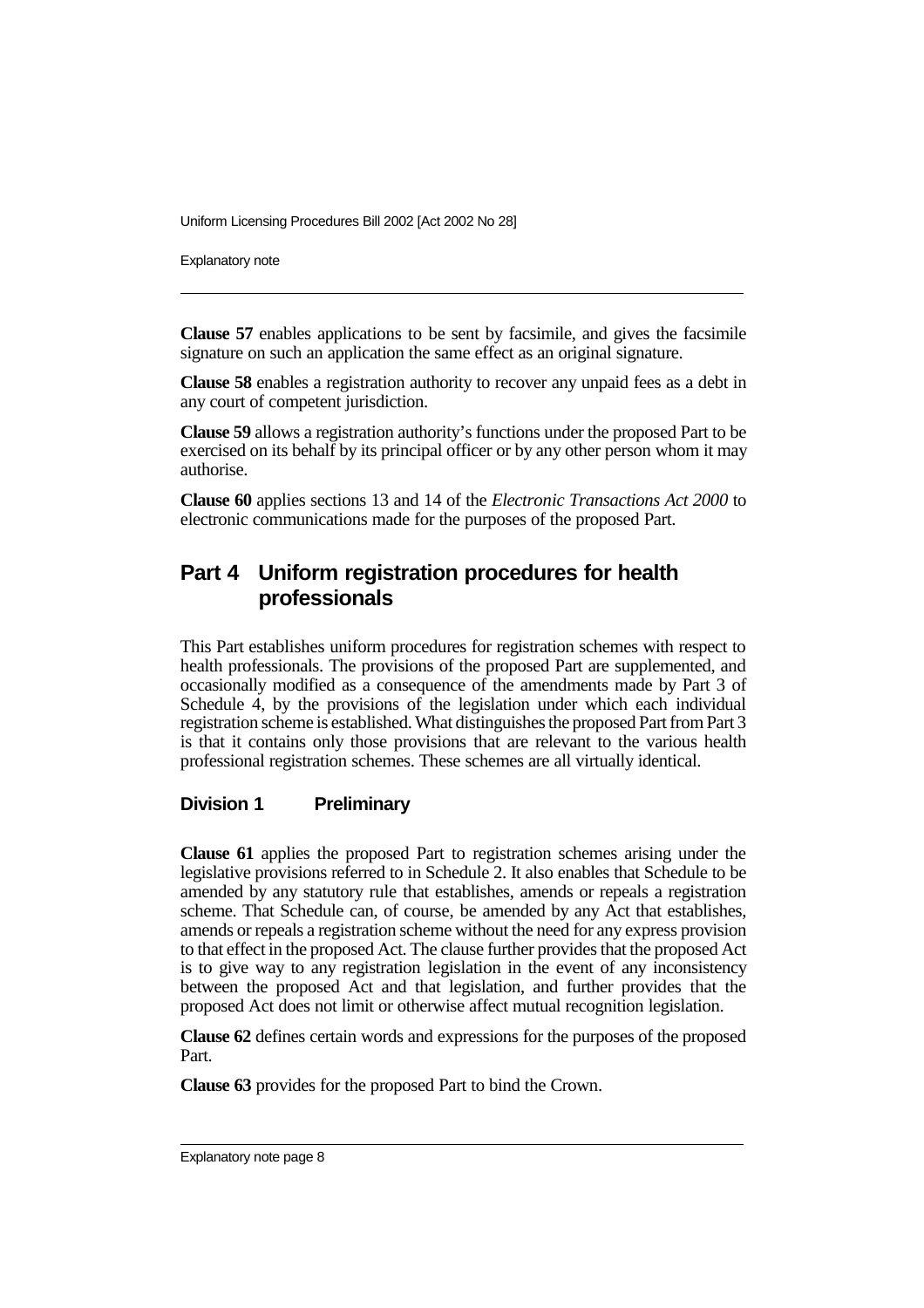Explanatory note

**Clause 57** enables applications to be sent by facsimile, and gives the facsimile signature on such an application the same effect as an original signature.

**Clause 58** enables a registration authority to recover any unpaid fees as a debt in any court of competent jurisdiction.

**Clause 59** allows a registration authority's functions under the proposed Part to be exercised on its behalf by its principal officer or by any other person whom it may authorise.

**Clause 60** applies sections 13 and 14 of the *Electronic Transactions Act 2000* to electronic communications made for the purposes of the proposed Part.

### **Part 4 Uniform registration procedures for health professionals**

This Part establishes uniform procedures for registration schemes with respect to health professionals. The provisions of the proposed Part are supplemented, and occasionally modified as a consequence of the amendments made by Part 3 of Schedule 4, by the provisions of the legislation under which each individual registration scheme is established. What distinguishes the proposed Part from Part 3 is that it contains only those provisions that are relevant to the various health professional registration schemes. These schemes are all virtually identical.

#### **Division 1 Preliminary**

**Clause 61** applies the proposed Part to registration schemes arising under the legislative provisions referred to in Schedule 2. It also enables that Schedule to be amended by any statutory rule that establishes, amends or repeals a registration scheme. That Schedule can, of course, be amended by any Act that establishes, amends or repeals a registration scheme without the need for any express provision to that effect in the proposed Act. The clause further provides that the proposed Act is to give way to any registration legislation in the event of any inconsistency between the proposed Act and that legislation, and further provides that the proposed Act does not limit or otherwise affect mutual recognition legislation.

**Clause 62** defines certain words and expressions for the purposes of the proposed Part.

**Clause 63** provides for the proposed Part to bind the Crown.

Explanatory note page 8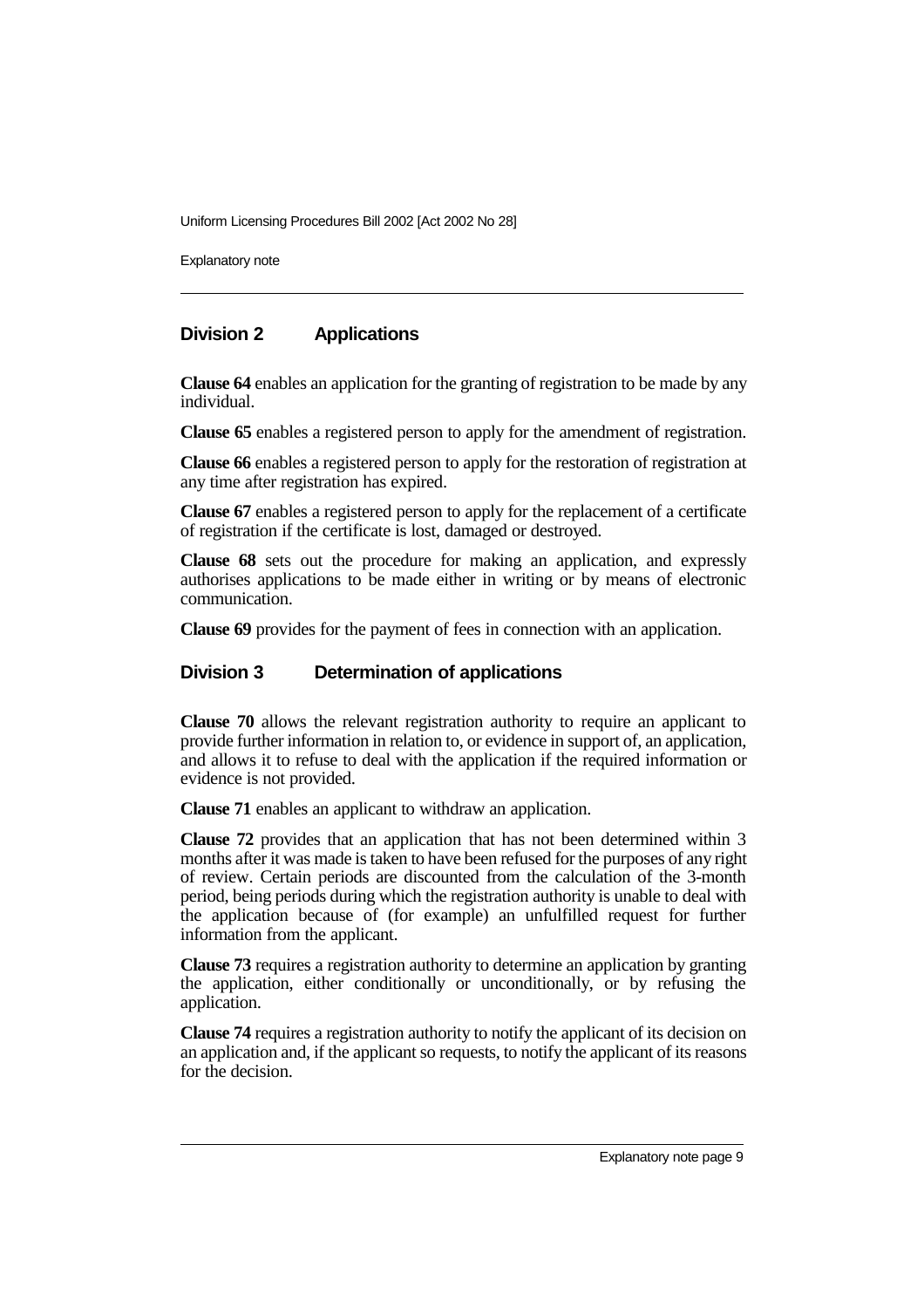Explanatory note

#### **Division 2 Applications**

**Clause 64** enables an application for the granting of registration to be made by any individual.

**Clause 65** enables a registered person to apply for the amendment of registration.

**Clause 66** enables a registered person to apply for the restoration of registration at any time after registration has expired.

**Clause 67** enables a registered person to apply for the replacement of a certificate of registration if the certificate is lost, damaged or destroyed.

**Clause 68** sets out the procedure for making an application, and expressly authorises applications to be made either in writing or by means of electronic communication.

**Clause 69** provides for the payment of fees in connection with an application.

#### **Division 3 Determination of applications**

**Clause 70** allows the relevant registration authority to require an applicant to provide further information in relation to, or evidence in support of, an application, and allows it to refuse to deal with the application if the required information or evidence is not provided.

**Clause 71** enables an applicant to withdraw an application.

**Clause 72** provides that an application that has not been determined within 3 months after it was made is taken to have been refused for the purposes of any right of review. Certain periods are discounted from the calculation of the 3-month period, being periods during which the registration authority is unable to deal with the application because of (for example) an unfulfilled request for further information from the applicant.

**Clause 73** requires a registration authority to determine an application by granting the application, either conditionally or unconditionally, or by refusing the application.

**Clause 74** requires a registration authority to notify the applicant of its decision on an application and, if the applicant so requests, to notify the applicant of its reasons for the decision.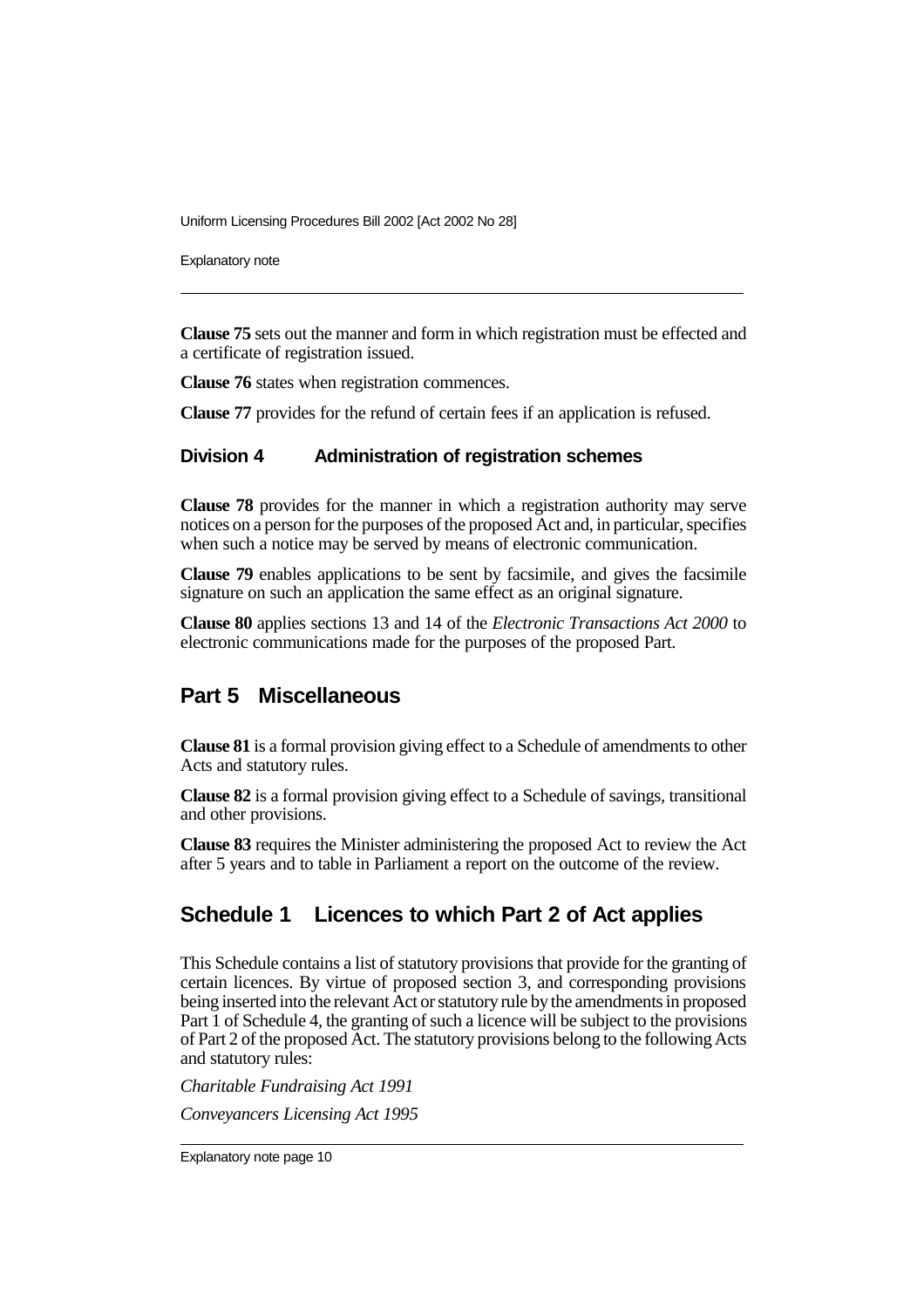Explanatory note

**Clause 75** sets out the manner and form in which registration must be effected and a certificate of registration issued.

**Clause 76** states when registration commences.

**Clause 77** provides for the refund of certain fees if an application is refused.

#### **Division 4 Administration of registration schemes**

**Clause 78** provides for the manner in which a registration authority may serve notices on a person for the purposes of the proposed Act and, in particular, specifies when such a notice may be served by means of electronic communication.

**Clause 79** enables applications to be sent by facsimile, and gives the facsimile signature on such an application the same effect as an original signature.

**Clause 80** applies sections 13 and 14 of the *Electronic Transactions Act 2000* to electronic communications made for the purposes of the proposed Part.

#### **Part 5 Miscellaneous**

**Clause 81** is a formal provision giving effect to a Schedule of amendments to other Acts and statutory rules.

**Clause 82** is a formal provision giving effect to a Schedule of savings, transitional and other provisions.

**Clause 83** requires the Minister administering the proposed Act to review the Act after 5 years and to table in Parliament a report on the outcome of the review.

#### **Schedule 1 Licences to which Part 2 of Act applies**

This Schedule contains a list of statutory provisions that provide for the granting of certain licences. By virtue of proposed section 3, and corresponding provisions being inserted into the relevant Act or statutory rule by the amendments in proposed Part 1 of Schedule 4, the granting of such a licence will be subject to the provisions of Part 2 of the proposed Act. The statutory provisions belong to the following Acts and statutory rules:

*Charitable Fundraising Act 1991 Conveyancers Licensing Act 1995*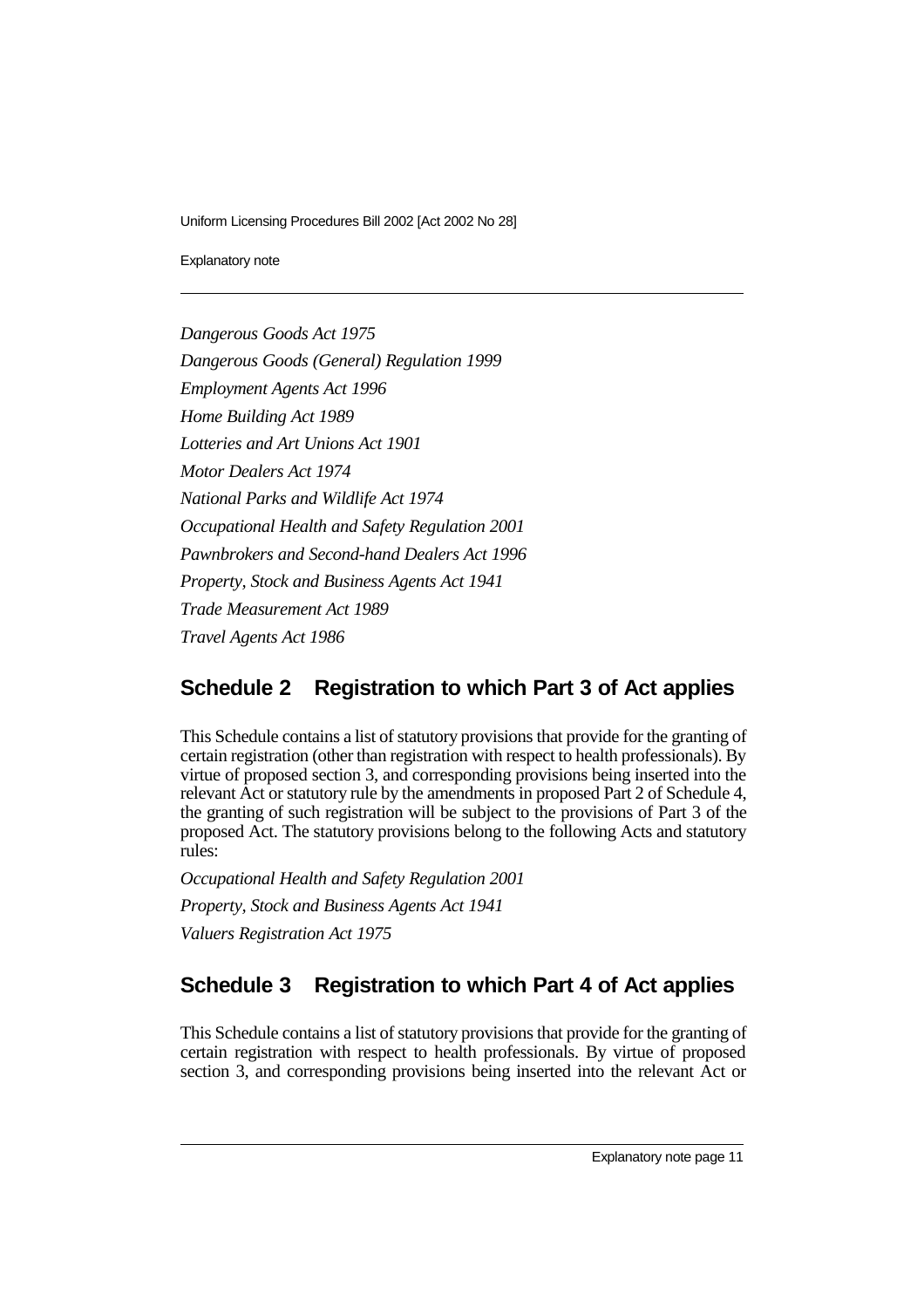Explanatory note

*Dangerous Goods Act 1975 Dangerous Goods (General) Regulation 1999 Employment Agents Act 1996 Home Building Act 1989 Lotteries and Art Unions Act 1901 Motor Dealers Act 1974 National Parks and Wildlife Act 1974 Occupational Health and Safety Regulation 2001 Pawnbrokers and Second-hand Dealers Act 1996 Property, Stock and Business Agents Act 1941 Trade Measurement Act 1989 Travel Agents Act 1986*

## **Schedule 2 Registration to which Part 3 of Act applies**

This Schedule contains a list of statutory provisions that provide for the granting of certain registration (other than registration with respect to health professionals). By virtue of proposed section 3, and corresponding provisions being inserted into the relevant Act or statutory rule by the amendments in proposed Part 2 of Schedule 4, the granting of such registration will be subject to the provisions of Part 3 of the proposed Act. The statutory provisions belong to the following Acts and statutory rules:

*Occupational Health and Safety Regulation 2001 Property, Stock and Business Agents Act 1941 Valuers Registration Act 1975*

## **Schedule 3 Registration to which Part 4 of Act applies**

This Schedule contains a list of statutory provisions that provide for the granting of certain registration with respect to health professionals. By virtue of proposed section 3, and corresponding provisions being inserted into the relevant Act or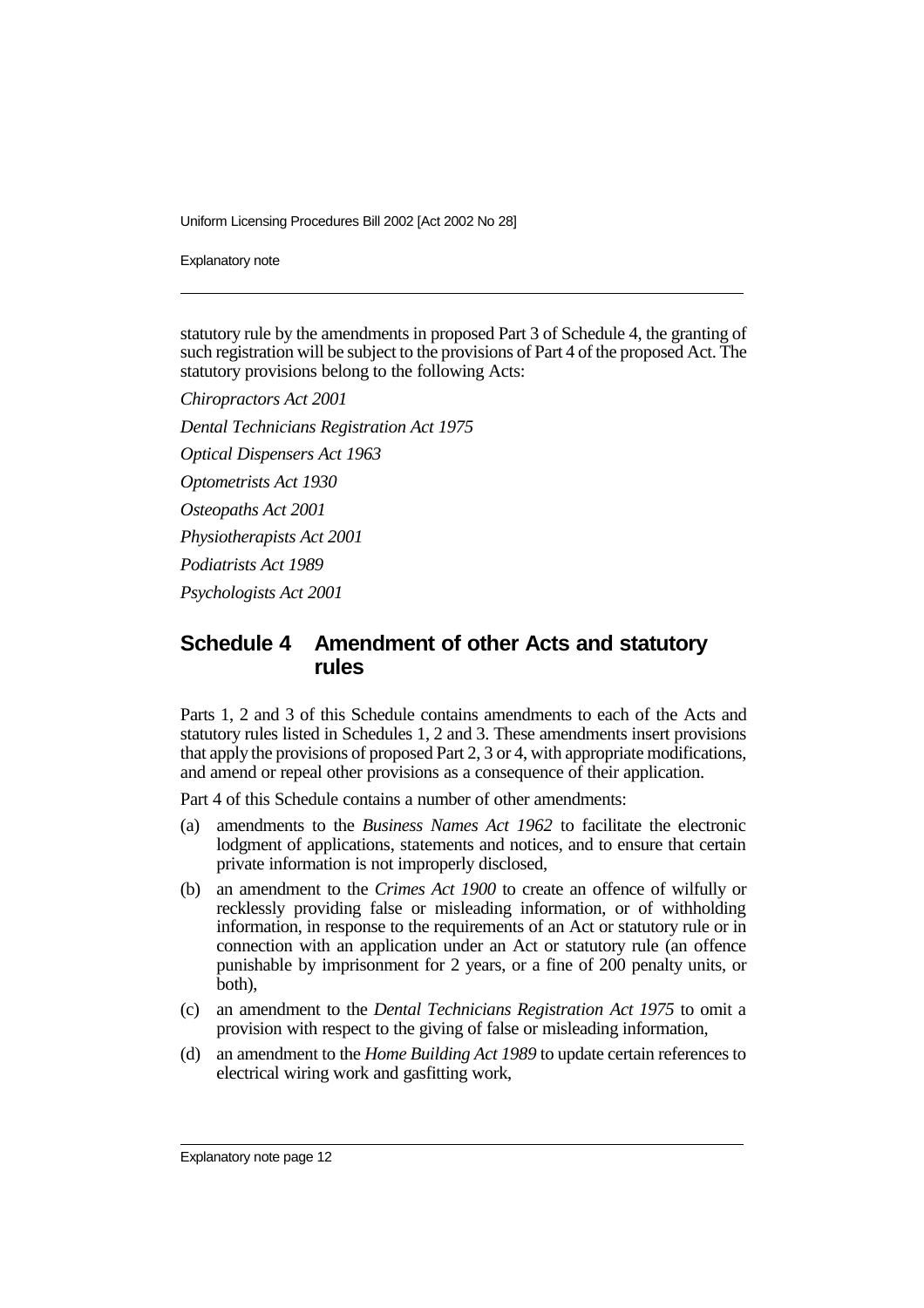Explanatory note

statutory rule by the amendments in proposed Part 3 of Schedule 4, the granting of such registration will be subject to the provisions of Part 4 of the proposed Act. The statutory provisions belong to the following Acts:

*Chiropractors Act 2001 Dental Technicians Registration Act 1975 Optical Dispensers Act 1963 Optometrists Act 1930 Osteopaths Act 2001 Physiotherapists Act 2001 Podiatrists Act 1989 Psychologists Act 2001*

#### **Schedule 4 Amendment of other Acts and statutory rules**

Parts 1, 2 and 3 of this Schedule contains amendments to each of the Acts and statutory rules listed in Schedules 1, 2 and 3. These amendments insert provisions that apply the provisions of proposed Part 2, 3 or 4, with appropriate modifications, and amend or repeal other provisions as a consequence of their application.

Part 4 of this Schedule contains a number of other amendments:

- (a) amendments to the *Business Names Act 1962* to facilitate the electronic lodgment of applications, statements and notices, and to ensure that certain private information is not improperly disclosed,
- (b) an amendment to the *Crimes Act 1900* to create an offence of wilfully or recklessly providing false or misleading information, or of withholding information, in response to the requirements of an Act or statutory rule or in connection with an application under an Act or statutory rule (an offence punishable by imprisonment for 2 years, or a fine of 200 penalty units, or both),
- (c) an amendment to the *Dental Technicians Registration Act 1975* to omit a provision with respect to the giving of false or misleading information,
- (d) an amendment to the *Home Building Act 1989* to update certain references to electrical wiring work and gasfitting work,

Explanatory note page 12